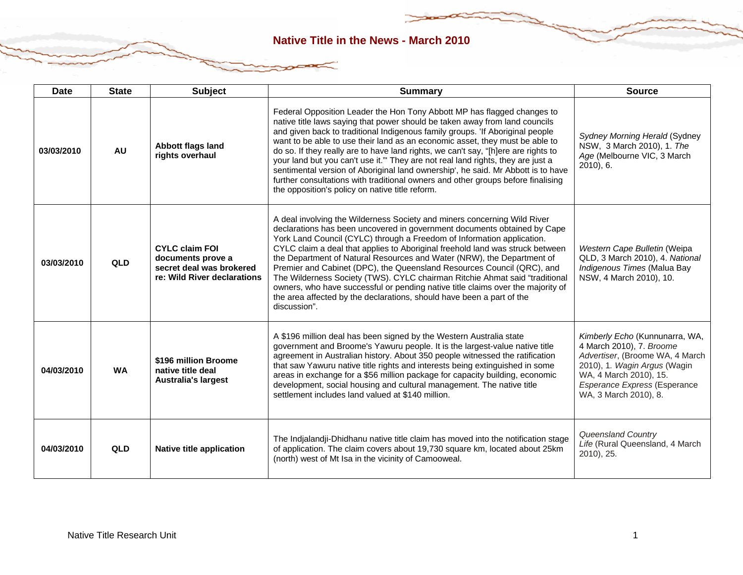| <b>Date</b> | <b>State</b> | <b>Subject</b>                                                                                        | <b>Summary</b>                                                                                                                                                                                                                                                                                                                                                                                                                                                                                                                                                                                                                                                                                                                 | <b>Source</b>                                                                                                                                                                                                           |
|-------------|--------------|-------------------------------------------------------------------------------------------------------|--------------------------------------------------------------------------------------------------------------------------------------------------------------------------------------------------------------------------------------------------------------------------------------------------------------------------------------------------------------------------------------------------------------------------------------------------------------------------------------------------------------------------------------------------------------------------------------------------------------------------------------------------------------------------------------------------------------------------------|-------------------------------------------------------------------------------------------------------------------------------------------------------------------------------------------------------------------------|
| 03/03/2010  | <b>AU</b>    | Abbott flags land<br>rights overhaul                                                                  | Federal Opposition Leader the Hon Tony Abbott MP has flagged changes to<br>native title laws saying that power should be taken away from land councils<br>and given back to traditional Indigenous family groups. 'If Aboriginal people<br>want to be able to use their land as an economic asset, they must be able to<br>do so. If they really are to have land rights, we can't say, "[h]ere are rights to<br>your land but you can't use it." They are not real land rights, they are just a<br>sentimental version of Aboriginal land ownership', he said. Mr Abbott is to have<br>further consultations with traditional owners and other groups before finalising<br>the opposition's policy on native title reform.    | Sydney Morning Herald (Sydney<br>NSW, 3 March 2010), 1. The<br>Age (Melbourne VIC, 3 March<br>$2010$ , 6.                                                                                                               |
| 03/03/2010  | <b>QLD</b>   | <b>CYLC claim FOI</b><br>documents prove a<br>secret deal was brokered<br>re: Wild River declarations | A deal involving the Wilderness Society and miners concerning Wild River<br>declarations has been uncovered in government documents obtained by Cape<br>York Land Council (CYLC) through a Freedom of Information application.<br>CYLC claim a deal that applies to Aboriginal freehold land was struck between<br>the Department of Natural Resources and Water (NRW), the Department of<br>Premier and Cabinet (DPC), the Queensland Resources Council (QRC), and<br>The Wilderness Society (TWS). CYLC chairman Ritchie Ahmat said "traditional<br>owners, who have successful or pending native title claims over the majority of<br>the area affected by the declarations, should have been a part of the<br>discussion". | Western Cape Bulletin (Weipa<br>QLD, 3 March 2010), 4. National<br>Indigenous Times (Malua Bay<br>NSW, 4 March 2010), 10.                                                                                               |
| 04/03/2010  | <b>WA</b>    | \$196 million Broome<br>native title deal<br><b>Australia's largest</b>                               | A \$196 million deal has been signed by the Western Australia state<br>government and Broome's Yawuru people. It is the largest-value native title<br>agreement in Australian history. About 350 people witnessed the ratification<br>that saw Yawuru native title rights and interests being extinguished in some<br>areas in exchange for a \$56 million package for capacity building, economic<br>development, social housing and cultural management. The native title<br>settlement includes land valued at \$140 million.                                                                                                                                                                                               | Kimberly Echo (Kunnunarra, WA,<br>4 March 2010), 7. Broome<br>Advertiser, (Broome WA, 4 March<br>2010), 1. Wagin Argus (Wagin<br>WA, 4 March 2010), 15.<br><b>Esperance Express (Esperance</b><br>WA, 3 March 2010), 8. |
| 04/03/2010  | QLD          | Native title application                                                                              | The Indjalandji-Dhidhanu native title claim has moved into the notification stage<br>of application. The claim covers about 19,730 square km, located about 25km<br>(north) west of Mt Isa in the vicinity of Camooweal.                                                                                                                                                                                                                                                                                                                                                                                                                                                                                                       | Queensland Country<br>Life (Rural Queensland, 4 March<br>2010), 25.                                                                                                                                                     |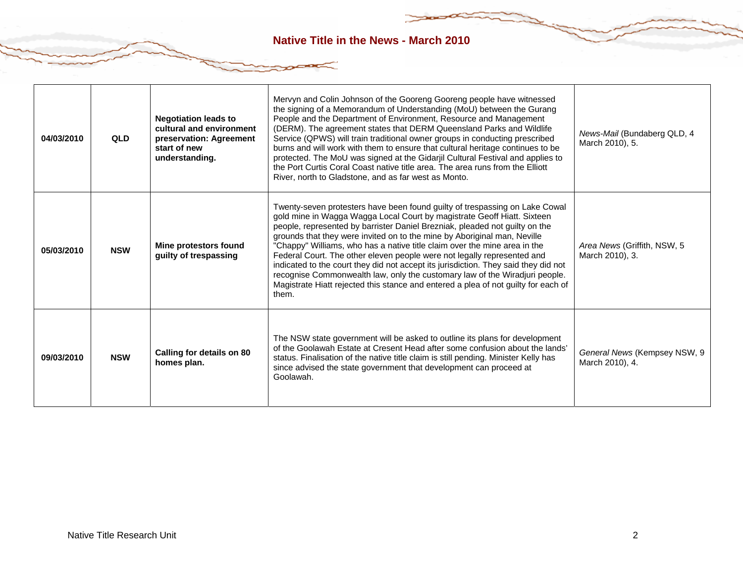| 04/03/2010 | QLD        | <b>Negotiation leads to</b><br>cultural and environment<br>preservation: Agreement<br>start of new<br>understanding. | Mervyn and Colin Johnson of the Gooreng Gooreng people have witnessed<br>the signing of a Memorandum of Understanding (MoU) between the Gurang<br>People and the Department of Environment, Resource and Management<br>(DERM). The agreement states that DERM Queensland Parks and Wildlife<br>Service (QPWS) will train traditional owner groups in conducting prescribed<br>burns and will work with them to ensure that cultural heritage continues to be<br>protected. The MoU was signed at the Gidarjil Cultural Festival and applies to<br>the Port Curtis Coral Coast native title area. The area runs from the Elliott<br>River, north to Gladstone, and as far west as Monto.                                                        | News-Mail (Bundaberg QLD, 4<br>March 2010), 5.  |
|------------|------------|----------------------------------------------------------------------------------------------------------------------|------------------------------------------------------------------------------------------------------------------------------------------------------------------------------------------------------------------------------------------------------------------------------------------------------------------------------------------------------------------------------------------------------------------------------------------------------------------------------------------------------------------------------------------------------------------------------------------------------------------------------------------------------------------------------------------------------------------------------------------------|-------------------------------------------------|
| 05/03/2010 | <b>NSW</b> | Mine protestors found<br>guilty of trespassing                                                                       | Twenty-seven protesters have been found guilty of trespassing on Lake Cowal<br>gold mine in Wagga Wagga Local Court by magistrate Geoff Hiatt. Sixteen<br>people, represented by barrister Daniel Brezniak, pleaded not guilty on the<br>grounds that they were invited on to the mine by Aboriginal man, Neville<br>"Chappy" Williams, who has a native title claim over the mine area in the<br>Federal Court. The other eleven people were not legally represented and<br>indicated to the court they did not accept its jurisdiction. They said they did not<br>recognise Commonwealth law, only the customary law of the Wiradjuri people.<br>Magistrate Hiatt rejected this stance and entered a plea of not guilty for each of<br>them. | Area News (Griffith, NSW, 5<br>March 2010), 3.  |
| 09/03/2010 | <b>NSW</b> | Calling for details on 80<br>homes plan.                                                                             | The NSW state government will be asked to outline its plans for development<br>of the Goolawah Estate at Cresent Head after some confusion about the lands'<br>status. Finalisation of the native title claim is still pending. Minister Kelly has<br>since advised the state government that development can proceed at<br>Goolawah.                                                                                                                                                                                                                                                                                                                                                                                                          | General News (Kempsey NSW, 9<br>March 2010), 4. |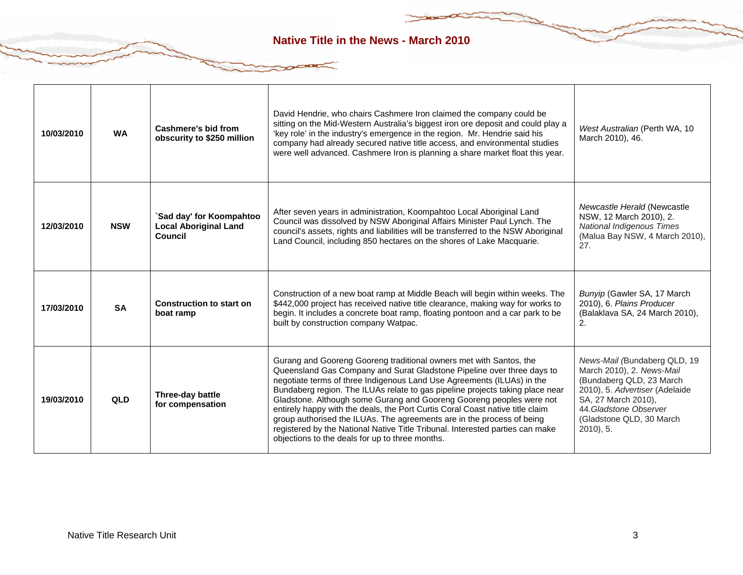÷

| 10/03/2010 | <b>WA</b>  | Cashmere's bid from<br>obscurity to \$250 million                   | David Hendrie, who chairs Cashmere Iron claimed the company could be<br>sitting on the Mid-Western Australia's biggest iron ore deposit and could play a<br>'key role' in the industry's emergence in the region. Mr. Hendrie said his<br>company had already secured native title access, and environmental studies<br>were well advanced. Cashmere Iron is planning a share market float this year.                                                                                                                                                                                                                                                                          | West Australian (Perth WA, 10<br>March 2010), 46.                                                                                                                                                                   |
|------------|------------|---------------------------------------------------------------------|--------------------------------------------------------------------------------------------------------------------------------------------------------------------------------------------------------------------------------------------------------------------------------------------------------------------------------------------------------------------------------------------------------------------------------------------------------------------------------------------------------------------------------------------------------------------------------------------------------------------------------------------------------------------------------|---------------------------------------------------------------------------------------------------------------------------------------------------------------------------------------------------------------------|
| 12/03/2010 | <b>NSW</b> | 'Sad day' for Koompahtoo<br><b>Local Aboriginal Land</b><br>Council | After seven years in administration, Koompahtoo Local Aboriginal Land<br>Council was dissolved by NSW Aboriginal Affairs Minister Paul Lynch. The<br>council's assets, rights and liabilities will be transferred to the NSW Aboriginal<br>Land Council, including 850 hectares on the shores of Lake Macquarie.                                                                                                                                                                                                                                                                                                                                                               | Newcastle Herald (Newcastle<br>NSW, 12 March 2010), 2.<br><b>National Indigenous Times</b><br>(Malua Bay NSW, 4 March 2010),<br>27.                                                                                 |
| 17/03/2010 | <b>SA</b>  | <b>Construction to start on</b><br>boat ramp                        | Construction of a new boat ramp at Middle Beach will begin within weeks. The<br>\$442,000 project has received native title clearance, making way for works to<br>begin. It includes a concrete boat ramp, floating pontoon and a car park to be<br>built by construction company Watpac.                                                                                                                                                                                                                                                                                                                                                                                      | Bunyip (Gawler SA, 17 March<br>2010), 6. Plains Producer<br>(Balaklava SA, 24 March 2010),<br>2.                                                                                                                    |
| 19/03/2010 | QLD        | Three-day battle<br>for compensation                                | Gurang and Gooreng Gooreng traditional owners met with Santos, the<br>Queensland Gas Company and Surat Gladstone Pipeline over three days to<br>negotiate terms of three Indigenous Land Use Agreements (ILUAs) in the<br>Bundaberg region. The ILUAs relate to gas pipeline projects taking place near<br>Gladstone. Although some Gurang and Gooreng Gooreng peoples were not<br>entirely happy with the deals, the Port Curtis Coral Coast native title claim<br>group authorised the ILUAs. The agreements are in the process of being<br>registered by the National Native Title Tribunal. Interested parties can make<br>objections to the deals for up to three months. | News-Mail (Bundaberg QLD, 19<br>March 2010), 2. News-Mail<br>(Bundaberg QLD, 23 March<br>2010), 5. Advertiser (Adelaide<br>SA, 27 March 2010),<br>44. Gladstone Observer<br>(Gladstone QLD, 30 March<br>$2010$ , 5. |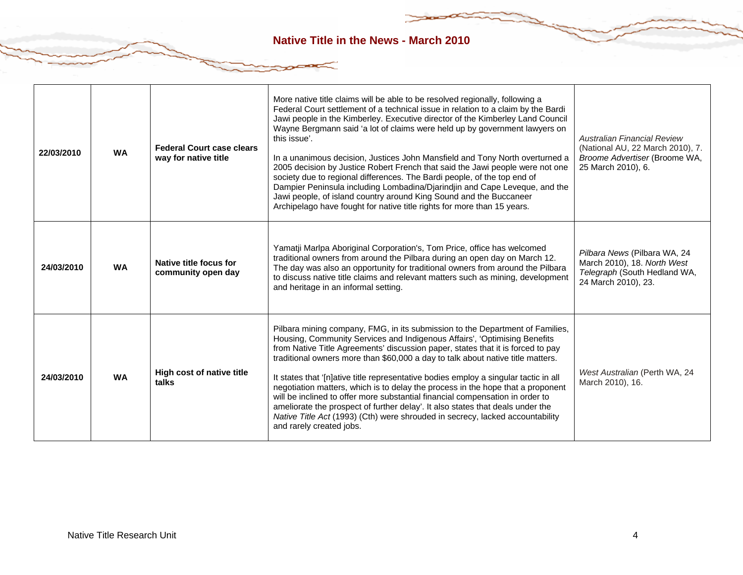| 22/03/2010 | <b>WA</b> | <b>Federal Court case clears</b><br>way for native title | More native title claims will be able to be resolved regionally, following a<br>Federal Court settlement of a technical issue in relation to a claim by the Bardi<br>Jawi people in the Kimberley. Executive director of the Kimberley Land Council<br>Wayne Bergmann said 'a lot of claims were held up by government lawyers on<br>this issue'.<br>In a unanimous decision, Justices John Mansfield and Tony North overturned a<br>2005 decision by Justice Robert French that said the Jawi people were not one<br>society due to regional differences. The Bardi people, of the top end of<br>Dampier Peninsula including Lombadina/Djarindjin and Cape Leveque, and the<br>Jawi people, of island country around King Sound and the Buccaneer<br>Archipelago have fought for native title rights for more than 15 years. | <b>Australian Financial Review</b><br>(National AU, 22 March 2010), 7.<br>Broome Advertiser (Broome WA,<br>25 March 2010), 6. |
|------------|-----------|----------------------------------------------------------|-------------------------------------------------------------------------------------------------------------------------------------------------------------------------------------------------------------------------------------------------------------------------------------------------------------------------------------------------------------------------------------------------------------------------------------------------------------------------------------------------------------------------------------------------------------------------------------------------------------------------------------------------------------------------------------------------------------------------------------------------------------------------------------------------------------------------------|-------------------------------------------------------------------------------------------------------------------------------|
| 24/03/2010 | <b>WA</b> | Native title focus for<br>community open day             | Yamatji Marlpa Aboriginal Corporation's, Tom Price, office has welcomed<br>traditional owners from around the Pilbara during an open day on March 12.<br>The day was also an opportunity for traditional owners from around the Pilbara<br>to discuss native title claims and relevant matters such as mining, development<br>and heritage in an informal setting.                                                                                                                                                                                                                                                                                                                                                                                                                                                            | Pilbara News (Pilbara WA, 24<br>March 2010), 18. North West<br>Telegraph (South Hedland WA,<br>24 March 2010), 23.            |
| 24/03/2010 | <b>WA</b> | High cost of native title<br>talks                       | Pilbara mining company, FMG, in its submission to the Department of Families,<br>Housing, Community Services and Indigenous Affairs', 'Optimising Benefits<br>from Native Title Agreements' discussion paper, states that it is forced to pay<br>traditional owners more than \$60,000 a day to talk about native title matters.<br>It states that '[n]ative title representative bodies employ a singular tactic in all<br>negotiation matters, which is to delay the process in the hope that a proponent<br>will be inclined to offer more substantial financial compensation in order to<br>ameliorate the prospect of further delay'. It also states that deals under the<br>Native Title Act (1993) (Cth) were shrouded in secrecy, lacked accountability<br>and rarely created jobs.                                   | West Australian (Perth WA, 24<br>March 2010), 16.                                                                             |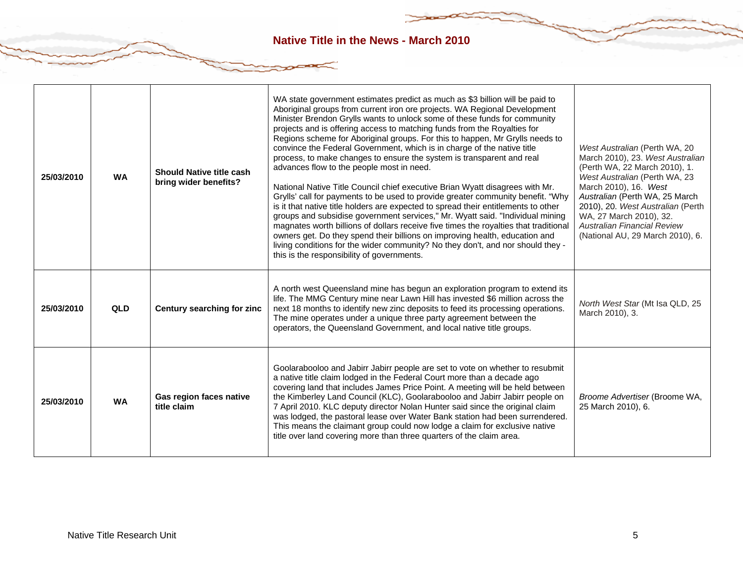| 25/03/2010 | <b>WA</b> | <b>Should Native title cash</b><br>bring wider benefits? | WA state government estimates predict as much as \$3 billion will be paid to<br>Aboriginal groups from current iron ore projects. WA Regional Development<br>Minister Brendon Grylls wants to unlock some of these funds for community<br>projects and is offering access to matching funds from the Royalties for<br>Regions scheme for Aboriginal groups. For this to happen, Mr Grylls needs to<br>convince the Federal Government, which is in charge of the native title<br>process, to make changes to ensure the system is transparent and real<br>advances flow to the people most in need.<br>National Native Title Council chief executive Brian Wyatt disagrees with Mr.<br>Grylls' call for payments to be used to provide greater community benefit. "Why<br>is it that native title holders are expected to spread their entitlements to other<br>groups and subsidise government services," Mr. Wyatt said. "Individual mining<br>magnates worth billions of dollars receive five times the royalties that traditional<br>owners get. Do they spend their billions on improving health, education and<br>living conditions for the wider community? No they don't, and nor should they -<br>this is the responsibility of governments. | West Australian (Perth WA, 20<br>March 2010), 23. West Australian<br>(Perth WA, 22 March 2010), 1.<br>West Australian (Perth WA, 23<br>March 2010), 16. West<br>Australian (Perth WA, 25 March<br>2010), 20. West Australian (Perth<br>WA, 27 March 2010), 32.<br><b>Australian Financial Review</b><br>(National AU, 29 March 2010), 6. |
|------------|-----------|----------------------------------------------------------|-------------------------------------------------------------------------------------------------------------------------------------------------------------------------------------------------------------------------------------------------------------------------------------------------------------------------------------------------------------------------------------------------------------------------------------------------------------------------------------------------------------------------------------------------------------------------------------------------------------------------------------------------------------------------------------------------------------------------------------------------------------------------------------------------------------------------------------------------------------------------------------------------------------------------------------------------------------------------------------------------------------------------------------------------------------------------------------------------------------------------------------------------------------------------------------------------------------------------------------------------------|------------------------------------------------------------------------------------------------------------------------------------------------------------------------------------------------------------------------------------------------------------------------------------------------------------------------------------------|
| 25/03/2010 | QLD       | Century searching for zinc                               | A north west Queensland mine has begun an exploration program to extend its<br>life. The MMG Century mine near Lawn Hill has invested \$6 million across the<br>next 18 months to identify new zinc deposits to feed its processing operations.<br>The mine operates under a unique three party agreement between the<br>operators, the Queensland Government, and local native title groups.                                                                                                                                                                                                                                                                                                                                                                                                                                                                                                                                                                                                                                                                                                                                                                                                                                                         | North West Star (Mt Isa QLD, 25<br>March 2010), 3.                                                                                                                                                                                                                                                                                       |
| 25/03/2010 | <b>WA</b> | Gas region faces native<br>title claim                   | Goolarabooloo and Jabirr Jabirr people are set to vote on whether to resubmit<br>a native title claim lodged in the Federal Court more than a decade ago<br>covering land that includes James Price Point. A meeting will be held between<br>the Kimberley Land Council (KLC), Goolarabooloo and Jabirr Jabirr people on<br>7 April 2010. KLC deputy director Nolan Hunter said since the original claim<br>was lodged, the pastoral lease over Water Bank station had been surrendered.<br>This means the claimant group could now lodge a claim for exclusive native<br>title over land covering more than three quarters of the claim area.                                                                                                                                                                                                                                                                                                                                                                                                                                                                                                                                                                                                        | Broome Advertiser (Broome WA,<br>25 March 2010), 6.                                                                                                                                                                                                                                                                                      |